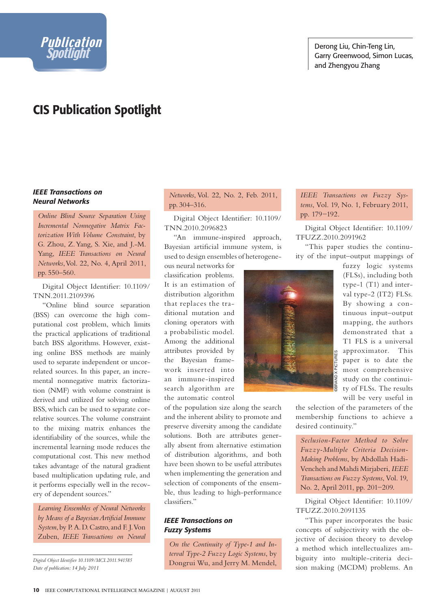

# **CIS Publication Spotlight**

#### *IEEE Transactions on Neural Networks*

Spotlight

*Online Blind Source Separation Using Incremental Nonnegative Matrix Factorization With Volume Constraint*, by G. Zhou, Z. Yang, S. Xie, and J.-M. Yang, *IEEE Transactions on Neural Networks*, Vol. 22, No. 4, April 2011, pp. 550–560.

Digital Object Identifier: 10.1109/ TNN.2011.2109396

"Online blind source separation (BSS) can overcome the high computational cost problem, which limits the practical applications of traditional batch BSS algorithms. However, existing online BSS methods are mainly used to separate independent or uncorrelated sources. In this paper, an incremental nonnegative matrix factorization (NMF) with volume constraint is derived and utilized for solving online BSS, which can be used to separate correlative sources. The volume constraint to the mixing matrix enhances the identifiability of the sources, while the incremental learning mode reduces the computational cost. This new method takes advantage of the natural gradient based multiplication updating rule, and it performs especially well in the recovery of dependent sources."

*Learning Ensembles of Neural Networks*  by Means of a Bayesian Artificial Immune *System*, by P. A. D. Castro, and F. J. Von Zuben, *IEEE Transactions on Neural* 

*Digital Object Identifier 10.1109/MCI.2011.941585*

#### *Networks*, Vol. 22, No. 2, Feb. 2011, pp. 304–316.

Digital Object Identifier: 10.1109/ TNN.2010.2096823

"An immune-inspired approach, Bayesian artificial immune system, is used to design ensembles of heterogene-

ous neural networks for classification problems. It is an estimation of distribution algorithm that replaces the traditional mutation and cloning operators with a probabilistic model. Among the additional attributes provided by the Bayesian framework inserted into an immune-inspired search algorithm are the automatic control

of the population size along the search and the inherent ability to promote and preserve diversity among the candidate solutions. Both are attributes generally absent from alternative estimation of distribution algorithms, and both have been shown to be useful attributes when implementing the generation and selection of components of the ensemble, thus leading to high-performance classifiers."

### *IEEE Transactions on Fuzzy Systems*

*On the Continuity of Type-1 and Interval Type-2 Fuzzy Logic Systems*, by Dongrui Wu, and Jerry M. Mendel, *IEEE Transactions on Fuzzy Systems*, Vol. 19, No. 1, February 2011, pp. 179−192.

Digital Object Identifier: 10.1109/ TFUZZ.2010.2091962

"This paper studies the continuity of the input–output mappings of



fuzzy logic systems (FLSs), including both type-1 (T1) and interval type-2 (IT2) FLSs. By showing a continuous input–output mapping, the authors demonstrated that a T1 FLS is a universal approximator. This paper is to date the most comprehensive study on the continuity of FLSs. The results will be very useful in

the selection of the parameters of the membership functions to achieve a desired continuity."

*Seclusion-Factor Method to Solve Fuzzy-Multiple Criteria Decision-Making Problems*, by Abdollah Hadi-Vencheh and Mahdi Mirjaberi, *IEEE Transactions on Fuzzy Systems*, Vol. 19, No. 2, April 2011, pp. 201−209.

Digital Object Identifier: 10.1109/ TFUZZ.2010.2091135

"This paper incorporates the basic concepts of subjectivity with the objective of decision theory to develop a method which intellectualizes ambiguity into multiple-criteria deci-*Date of publication: 14 July 2011* **Single Strategy And Science of the sign making (MCDM) problems.** An